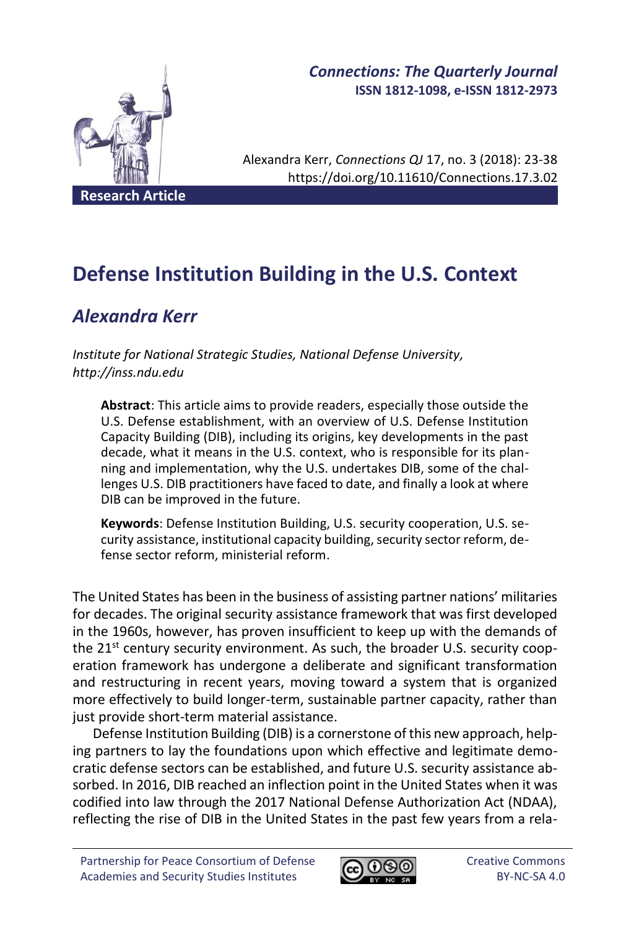

# *Connections: The Quarterly Journal* **ISSN 1812-1098, e-ISSN 1812-2973**

Alexandra Kerr, *Connections QJ* 17, no. 3 (2018): 23-38 https://doi.org/10.11610/Connections.17.3.02

# **Defense Institution Building in the U.S. Context**

# *Alexandra Kerr*

*Institute for National Strategic Studies, National Defense University, http://inss.ndu.edu*

**Abstract**: This article aims to provide readers, especially those outside the U.S. Defense establishment, with an overview of U.S. Defense Institution Capacity Building (DIB), including its origins, key developments in the past decade, what it means in the U.S. context, who is responsible for its planning and implementation, why the U.S. undertakes DIB, some of the challenges U.S. DIB practitioners have faced to date, and finally a look at where DIB can be improved in the future.

**Keywords**: Defense Institution Building, U.S. security cooperation, U.S. security assistance, institutional capacity building, security sector reform, defense sector reform, ministerial reform.

The United States has been in the business of assisting partner nations' militaries for decades. The original security assistance framework that was first developed in the 1960s, however, has proven insufficient to keep up with the demands of the 21<sup>st</sup> century security environment. As such, the broader U.S. security cooperation framework has undergone a deliberate and significant transformation and restructuring in recent years, moving toward a system that is organized more effectively to build longer-term, sustainable partner capacity, rather than just provide short-term material assistance.

Defense Institution Building (DIB) is a cornerstone of this new approach, helping partners to lay the foundations upon which effective and legitimate democratic defense sectors can be established, and future U.S. security assistance absorbed. In 2016, DIB reached an inflection point in the United States when it was codified into law through the 2017 National Defense Authorization Act (NDAA), reflecting the rise of DIB in the United States in the past few years from a rela-

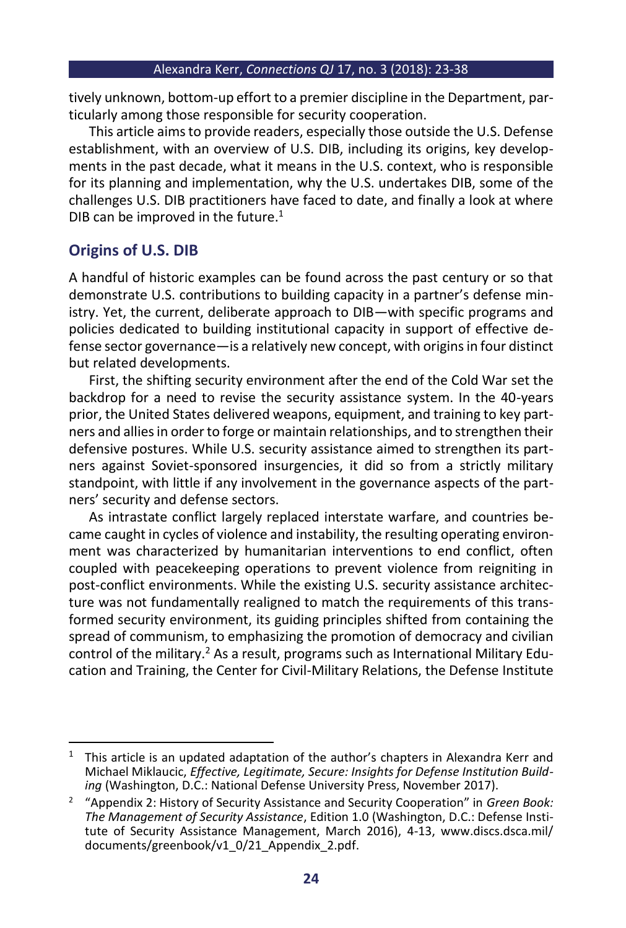tively unknown, bottom-up effort to a premier discipline in the Department, particularly among those responsible for security cooperation.

This article aims to provide readers, especially those outside the U.S. Defense establishment, with an overview of U.S. DIB, including its origins, key developments in the past decade, what it means in the U.S. context, who is responsible for its planning and implementation, why the U.S. undertakes DIB, some of the challenges U.S. DIB practitioners have faced to date, and finally a look at where DIB can be improved in the future. $1$ 

# **Origins of U.S. DIB**

A handful of historic examples can be found across the past century or so that demonstrate U.S. contributions to building capacity in a partner's defense ministry. Yet, the current, deliberate approach to DIB—with specific programs and policies dedicated to building institutional capacity in support of effective defense sector governance—is a relatively new concept, with origins in four distinct but related developments.

First, the shifting security environment after the end of the Cold War set the backdrop for a need to revise the security assistance system. In the 40-years prior, the United States delivered weapons, equipment, and training to key partners and allies in order to forge or maintain relationships, and to strengthen their defensive postures. While U.S. security assistance aimed to strengthen its partners against Soviet-sponsored insurgencies, it did so from a strictly military standpoint, with little if any involvement in the governance aspects of the partners' security and defense sectors.

As intrastate conflict largely replaced interstate warfare, and countries became caught in cycles of violence and instability, the resulting operating environment was characterized by humanitarian interventions to end conflict, often coupled with peacekeeping operations to prevent violence from reigniting in post-conflict environments. While the existing U.S. security assistance architecture was not fundamentally realigned to match the requirements of this transformed security environment, its guiding principles shifted from containing the spread of communism, to emphasizing the promotion of democracy and civilian control of the military.<sup>2</sup> As a result, programs such as International Military Education and Training, the Center for Civil-Military Relations, the Defense Institute

 $1$  This article is an updated adaptation of the author's chapters in Alexandra Kerr and Michael Miklaucic, *Effective, Legitimate, Secure: Insights for Defense Institution Building* (Washington, D.C.: National Defense University Press, November 2017).

<sup>2</sup> "Appendix 2: History of Security Assistance and Security Cooperation" in *Green Book: The Management of Security Assistance*, Edition 1.0 (Washington, D.C.: Defense Institute of Security Assistance Management, March 2016), 4-13, www.discs.dsca.mil/ documents/greenbook/v1\_0/21\_Appendix\_2.pdf.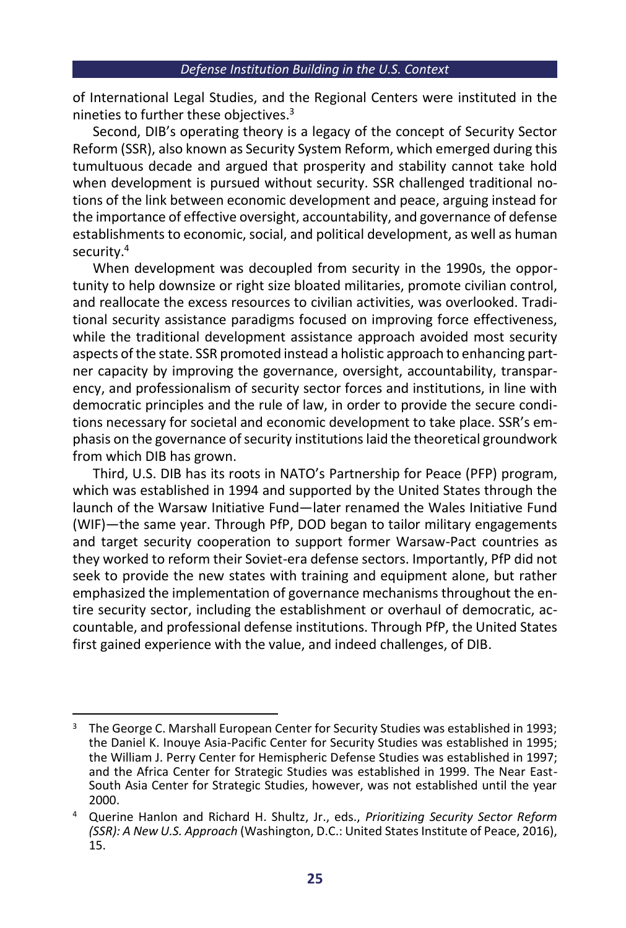of International Legal Studies, and the Regional Centers were instituted in the nineties to further these objectives.<sup>3</sup>

Second, DIB's operating theory is a legacy of the concept of Security Sector Reform (SSR), also known as Security System Reform, which emerged during this tumultuous decade and argued that prosperity and stability cannot take hold when development is pursued without security. SSR challenged traditional notions of the link between economic development and peace, arguing instead for the importance of effective oversight, accountability, and governance of defense establishments to economic, social, and political development, as well as human security.<sup>4</sup>

When development was decoupled from security in the 1990s, the opportunity to help downsize or right size bloated militaries, promote civilian control, and reallocate the excess resources to civilian activities, was overlooked. Traditional security assistance paradigms focused on improving force effectiveness, while the traditional development assistance approach avoided most security aspects of the state. SSR promoted instead a holistic approach to enhancing partner capacity by improving the governance, oversight, accountability, transparency, and professionalism of security sector forces and institutions, in line with democratic principles and the rule of law, in order to provide the secure conditions necessary for societal and economic development to take place. SSR's emphasis on the governance of security institutions laid the theoretical groundwork from which DIB has grown.

Third, U.S. DIB has its roots in NATO's Partnership for Peace (PFP) program, which was established in 1994 and supported by the United States through the launch of the Warsaw Initiative Fund—later renamed the Wales Initiative Fund (WIF)—the same year. Through PfP, DOD began to tailor military engagements and target security cooperation to support former Warsaw-Pact countries as they worked to reform their Soviet-era defense sectors. Importantly, PfP did not seek to provide the new states with training and equipment alone, but rather emphasized the implementation of governance mechanisms throughout the entire security sector, including the establishment or overhaul of democratic, accountable, and professional defense institutions. Through PfP, the United States first gained experience with the value, and indeed challenges, of DIB.

 $3$  The George C. Marshall European Center for Security Studies was established in 1993; the Daniel K. Inouye Asia-Pacific Center for Security Studies was established in 1995; the William J. Perry Center for Hemispheric Defense Studies was established in 1997; and the Africa Center for Strategic Studies was established in 1999. The Near East-South Asia Center for Strategic Studies, however, was not established until the year 2000.

<sup>4</sup> Querine Hanlon and Richard H. Shultz, Jr., eds., *Prioritizing Security Sector Reform (SSR): A New U.S. Approach* (Washington, D.C.: United States Institute of Peace, 2016), 15.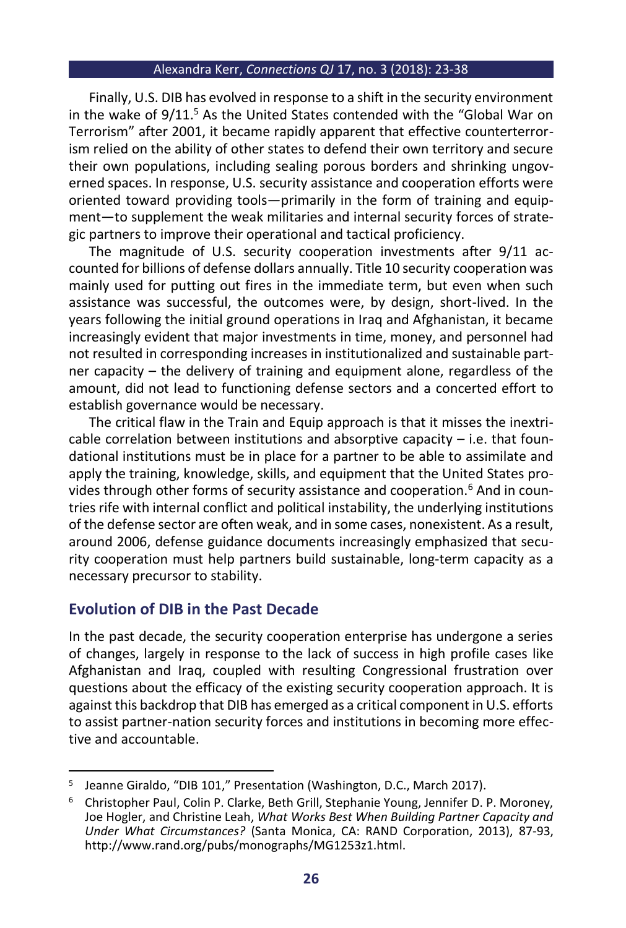Finally, U.S. DIB has evolved in response to a shift in the security environment in the wake of 9/11.<sup>5</sup> As the United States contended with the "Global War on Terrorism" after 2001, it became rapidly apparent that effective counterterrorism relied on the ability of other states to defend their own territory and secure their own populations, including sealing porous borders and shrinking ungoverned spaces. In response, U.S. security assistance and cooperation efforts were oriented toward providing tools—primarily in the form of training and equipment—to supplement the weak militaries and internal security forces of strategic partners to improve their operational and tactical proficiency.

The magnitude of U.S. security cooperation investments after 9/11 accounted for billions of defense dollars annually. Title 10 security cooperation was mainly used for putting out fires in the immediate term, but even when such assistance was successful, the outcomes were, by design, short-lived. In the years following the initial ground operations in Iraq and Afghanistan, it became increasingly evident that major investments in time, money, and personnel had not resulted in corresponding increases in institutionalized and sustainable partner capacity – the delivery of training and equipment alone, regardless of the amount, did not lead to functioning defense sectors and a concerted effort to establish governance would be necessary.

The critical flaw in the Train and Equip approach is that it misses the inextricable correlation between institutions and absorptive capacity  $-$  i.e. that foundational institutions must be in place for a partner to be able to assimilate and apply the training, knowledge, skills, and equipment that the United States provides through other forms of security assistance and cooperation.<sup>6</sup> And in countries rife with internal conflict and political instability, the underlying institutions of the defense sector are often weak, and in some cases, nonexistent. As a result, around 2006, defense guidance documents increasingly emphasized that security cooperation must help partners build sustainable, long-term capacity as a necessary precursor to stability.

# **Evolution of DIB in the Past Decade**

In the past decade, the security cooperation enterprise has undergone a series of changes, largely in response to the lack of success in high profile cases like Afghanistan and Iraq, coupled with resulting Congressional frustration over questions about the efficacy of the existing security cooperation approach. It is against this backdrop that DIB has emerged as a critical component in U.S. efforts to assist partner-nation security forces and institutions in becoming more effective and accountable.

<sup>&</sup>lt;sup>5</sup> Jeanne Giraldo, "DIB 101," Presentation (Washington, D.C., March 2017).

<sup>6</sup> Christopher Paul, Colin P. Clarke, Beth Grill, Stephanie Young, Jennifer D. P. Moroney, Joe Hogler, and Christine Leah, *What Works Best When Building Partner Capacity and Under What Circumstances?* (Santa Monica, CA: RAND Corporation, 2013), 87-93, http://www.rand.org/pubs/monographs/MG1253z1.html.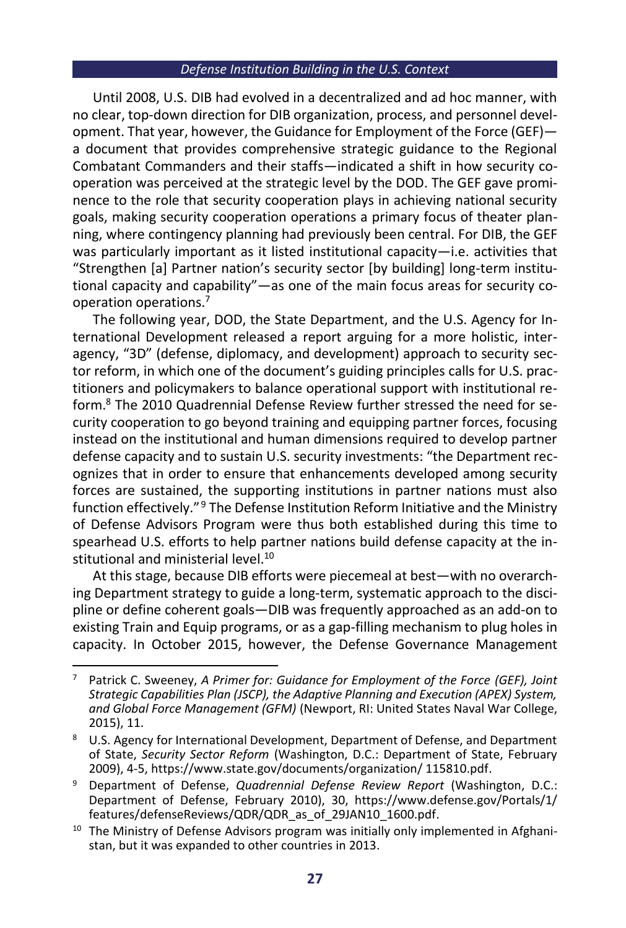Until 2008, U.S. DIB had evolved in a decentralized and ad hoc manner, with no clear, top-down direction for DIB organization, process, and personnel development. That year, however, the Guidance for Employment of the Force (GEF) a document that provides comprehensive strategic guidance to the Regional Combatant Commanders and their staffs—indicated a shift in how security cooperation was perceived at the strategic level by the DOD. The GEF gave prominence to the role that security cooperation plays in achieving national security goals, making security cooperation operations a primary focus of theater planning, where contingency planning had previously been central. For DIB, the GEF was particularly important as it listed institutional capacity—i.e. activities that "Strengthen [a] Partner nation's security sector [by building] long-term institutional capacity and capability"—as one of the main focus areas for security cooperation operations.<sup>7</sup>

The following year, DOD, the State Department, and the U.S. Agency for International Development released a report arguing for a more holistic, interagency, "3D" (defense, diplomacy, and development) approach to security sector reform, in which one of the document's guiding principles calls for U.S. practitioners and policymakers to balance operational support with institutional reform.<sup>8</sup> The 2010 Quadrennial Defense Review further stressed the need for security cooperation to go beyond training and equipping partner forces, focusing instead on the institutional and human dimensions required to develop partner defense capacity and to sustain U.S. security investments: "the Department recognizes that in order to ensure that enhancements developed among security forces are sustained, the supporting institutions in partner nations must also function effectively."<sup>9</sup> The Defense Institution Reform Initiative and the Ministry of Defense Advisors Program were thus both established during this time to spearhead U.S. efforts to help partner nations build defense capacity at the institutional and ministerial level.<sup>10</sup>

At this stage, because DIB efforts were piecemeal at best—with no overarching Department strategy to guide a long-term, systematic approach to the discipline or define coherent goals—DIB was frequently approached as an add-on to existing Train and Equip programs, or as a gap-filling mechanism to plug holes in capacity. In October 2015, however, the Defense Governance Management

<sup>7</sup> Patrick C. Sweeney, *A Primer for: Guidance for Employment of the Force (GEF), Joint Strategic Capabilities Plan (JSCP), the Adaptive Planning and Execution (APEX) System, and Global Force Management (GFM)* (Newport, RI: United States Naval War College, 2015), 11.

U.S. Agency for International Development, Department of Defense, and Department of State, *Security Sector Reform* (Washington, D.C.: Department of State, February 2009), 4-5, https://www.state.gov/documents/organization/ 115810.pdf.

<sup>9</sup> Department of Defense, *Quadrennial Defense Review Report* (Washington, D.C.: Department of Defense, February 2010), 30, https://www.defense.gov/Portals/1/ features/defenseReviews/QDR/QDR\_as\_of\_29JAN10\_1600.pdf.

 $10$  The Ministry of Defense Advisors program was initially only implemented in Afghanistan, but it was expanded to other countries in 2013.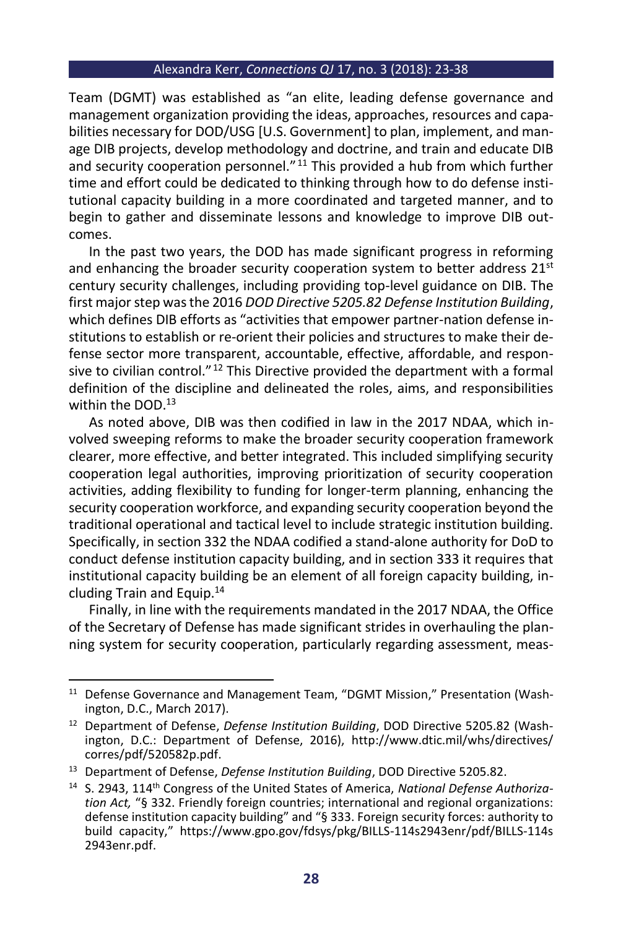Team (DGMT) was established as "an elite, leading defense governance and management organization providing the ideas, approaches, resources and capabilities necessary for DOD/USG [U.S. Government] to plan, implement, and manage DIB projects, develop methodology and doctrine, and train and educate DIB and security cooperation personnel."<sup>11</sup> This provided a hub from which further time and effort could be dedicated to thinking through how to do defense institutional capacity building in a more coordinated and targeted manner, and to begin to gather and disseminate lessons and knowledge to improve DIB outcomes.

In the past two years, the DOD has made significant progress in reforming and enhancing the broader security cooperation system to better address  $21<sup>st</sup>$ century security challenges, including providing top-level guidance on DIB. The first major step was the 2016 *DOD Directive 5205.82 Defense Institution Building*, which defines DIB efforts as "activities that empower partner-nation defense institutions to establish or re-orient their policies and structures to make their defense sector more transparent, accountable, effective, affordable, and responsive to civilian control."<sup>12</sup> This Directive provided the department with a formal definition of the discipline and delineated the roles, aims, and responsibilities within the DOD.<sup>13</sup>

As noted above, DIB was then codified in law in the 2017 NDAA, which involved sweeping reforms to make the broader security cooperation framework clearer, more effective, and better integrated. This included simplifying security cooperation legal authorities, improving prioritization of security cooperation activities, adding flexibility to funding for longer-term planning, enhancing the security cooperation workforce, and expanding security cooperation beyond the traditional operational and tactical level to include strategic institution building. Specifically, in section 332 the NDAA codified a stand-alone authority for DoD to conduct defense institution capacity building, and in section 333 it requires that institutional capacity building be an element of all foreign capacity building, including Train and Equip.<sup>14</sup>

Finally, in line with the requirements mandated in the 2017 NDAA, the Office of the Secretary of Defense has made significant strides in overhauling the planning system for security cooperation, particularly regarding assessment, meas-

<sup>&</sup>lt;sup>11</sup> Defense Governance and Management Team, "DGMT Mission," Presentation (Washington, D.C., March 2017).

<sup>12</sup> Department of Defense, *Defense Institution Building*, DOD Directive 5205.82 (Washington, D.C.: Department of Defense, 2016), http://www.dtic.mil/whs/directives/ corres/pdf/520582p.pdf.

<sup>13</sup> Department of Defense, *Defense Institution Building*, DOD Directive 5205.82.

<sup>14</sup> S. 2943, 114th Congress of the United States of America, *National Defense Authorization Act,* "§ 332. Friendly foreign countries; international and regional organizations: defense institution capacity building" and "§ 333. Foreign security forces: authority to build capacity," https://www.gpo.gov/fdsys/pkg/BILLS-114s2943enr/pdf/BILLS-114s 2943enr.pdf.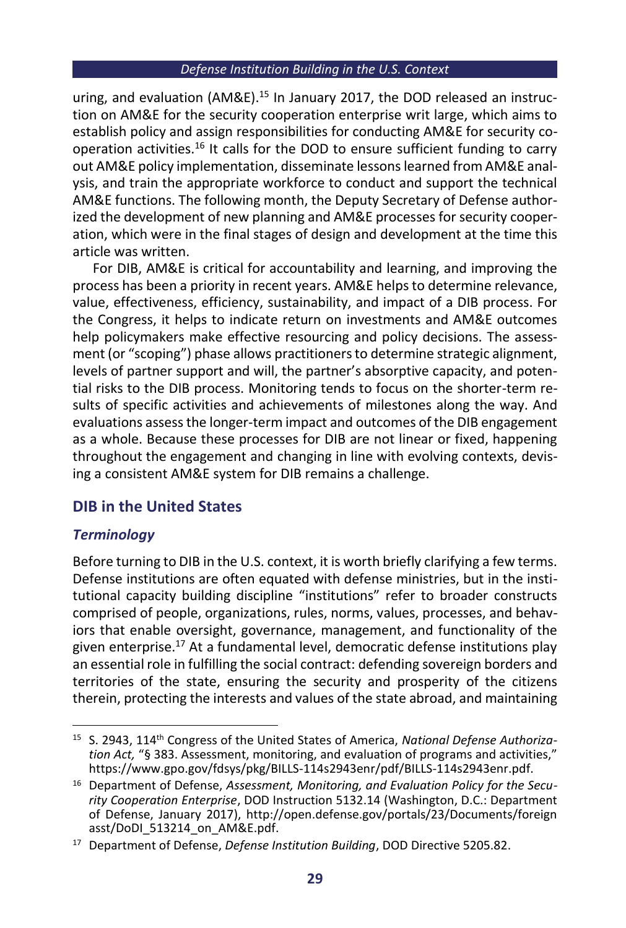uring, and evaluation ( $AM\&E$ ).<sup>15</sup> In January 2017, the DOD released an instruction on AM&E for the security cooperation enterprise writ large, which aims to establish policy and assign responsibilities for conducting AM&E for security cooperation activities.<sup>16</sup> It calls for the DOD to ensure sufficient funding to carry out AM&E policy implementation, disseminate lessons learned from AM&E analysis, and train the appropriate workforce to conduct and support the technical AM&E functions. The following month, the Deputy Secretary of Defense authorized the development of new planning and AM&E processes for security cooperation, which were in the final stages of design and development at the time this article was written.

For DIB, AM&E is critical for accountability and learning, and improving the process has been a priority in recent years. AM&E helps to determine relevance, value, effectiveness, efficiency, sustainability, and impact of a DIB process. For the Congress, it helps to indicate return on investments and AM&E outcomes help policymakers make effective resourcing and policy decisions. The assessment (or "scoping") phase allows practitioners to determine strategic alignment, levels of partner support and will, the partner's absorptive capacity, and potential risks to the DIB process. Monitoring tends to focus on the shorter-term results of specific activities and achievements of milestones along the way. And evaluations assess the longer-term impact and outcomes of the DIB engagement as a whole. Because these processes for DIB are not linear or fixed, happening throughout the engagement and changing in line with evolving contexts, devising a consistent AM&E system for DIB remains a challenge.

# **DIB in the United States**

## *Terminology*

Before turning to DIB in the U.S. context, it is worth briefly clarifying a few terms. Defense institutions are often equated with defense ministries, but in the institutional capacity building discipline "institutions" refer to broader constructs comprised of people, organizations, rules, norms, values, processes, and behaviors that enable oversight, governance, management, and functionality of the given enterprise.<sup>17</sup> At a fundamental level, democratic defense institutions play an essential role in fulfilling the social contract: defending sovereign borders and territories of the state, ensuring the security and prosperity of the citizens therein, protecting the interests and values of the state abroad, and maintaining

<sup>&</sup>lt;sup>15</sup> S. 2943, 114<sup>th</sup> Congress of the United States of America, *National Defense Authorization Act,* "§ 383. Assessment, monitoring, and evaluation of programs and activities," https://www.gpo.gov/fdsys/pkg/BILLS-114s2943enr/pdf/BILLS-114s2943enr.pdf.

<sup>16</sup> Department of Defense, *Assessment, Monitoring, and Evaluation Policy for the Security Cooperation Enterprise*, DOD Instruction 5132.14 (Washington, D.C.: Department of Defense, January 2017), http://open.defense.gov/portals/23/Documents/foreign asst/DoDI\_513214\_on\_AM&E.pdf.

<sup>17</sup> Department of Defense, *Defense Institution Building*, DOD Directive 5205.82.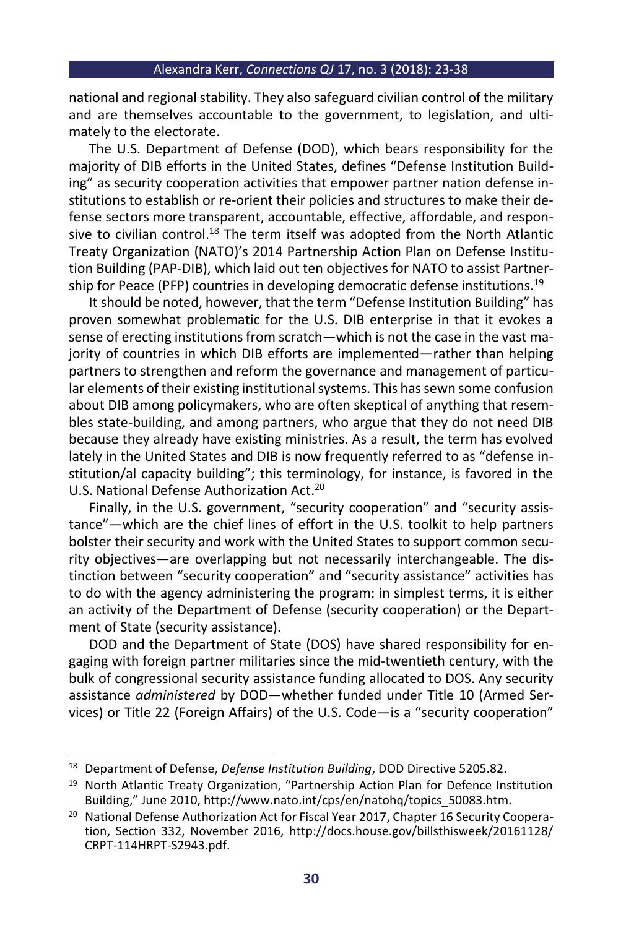national and regional stability. They also safeguard civilian control of the military and are themselves accountable to the government, to legislation, and ultimately to the electorate.

The U.S. Department of Defense (DOD), which bears responsibility for the majority of DIB efforts in the United States, defines "Defense Institution Building" as security cooperation activities that empower partner nation defense institutions to establish or re-orient their policies and structures to make their defense sectors more transparent, accountable, effective, affordable, and responsive to civilian control.<sup>18</sup> The term itself was adopted from the North Atlantic Treaty Organization (NATO)'s 2014 Partnership Action Plan on Defense Institution Building (PAP-DIB), which laid out ten objectives for NATO to assist Partnership for Peace (PFP) countries in developing democratic defense institutions.<sup>19</sup>

It should be noted, however, that the term "Defense Institution Building" has proven somewhat problematic for the U.S. DIB enterprise in that it evokes a sense of erecting institutions from scratch—which is not the case in the vast majority of countries in which DIB efforts are implemented—rather than helping partners to strengthen and reform the governance and management of particular elements of their existing institutional systems. This has sewn some confusion about DIB among policymakers, who are often skeptical of anything that resembles state-building, and among partners, who argue that they do not need DIB because they already have existing ministries. As a result, the term has evolved lately in the United States and DIB is now frequently referred to as "defense institution/al capacity building"; this terminology, for instance, is favored in the U.S. National Defense Authorization Act. 20

Finally, in the U.S. government, "security cooperation" and "security assistance"—which are the chief lines of effort in the U.S. toolkit to help partners bolster their security and work with the United States to support common security objectives—are overlapping but not necessarily interchangeable. The distinction between "security cooperation" and "security assistance" activities has to do with the agency administering the program: in simplest terms, it is either an activity of the Department of Defense (security cooperation) or the Department of State (security assistance).

DOD and the Department of State (DOS) have shared responsibility for engaging with foreign partner militaries since the mid-twentieth century, with the bulk of congressional security assistance funding allocated to DOS. Any security assistance *administered* by DOD—whether funded under Title 10 (Armed Services) or Title 22 (Foreign Affairs) of the U.S. Code—is a "security cooperation"

<sup>18</sup> Department of Defense, *Defense Institution Building*, DOD Directive 5205.82.

<sup>&</sup>lt;sup>19</sup> North Atlantic Treaty Organization, "Partnership Action Plan for Defence Institution Building," June 2010, http://www.nato.int/cps/en/natohq/topics\_50083.htm.

<sup>&</sup>lt;sup>20</sup> National Defense Authorization Act for Fiscal Year 2017, Chapter 16 Security Cooperation, Section 332, November 2016, http://docs.house.gov/billsthisweek/20161128/ CRPT-114HRPT-S2943.pdf.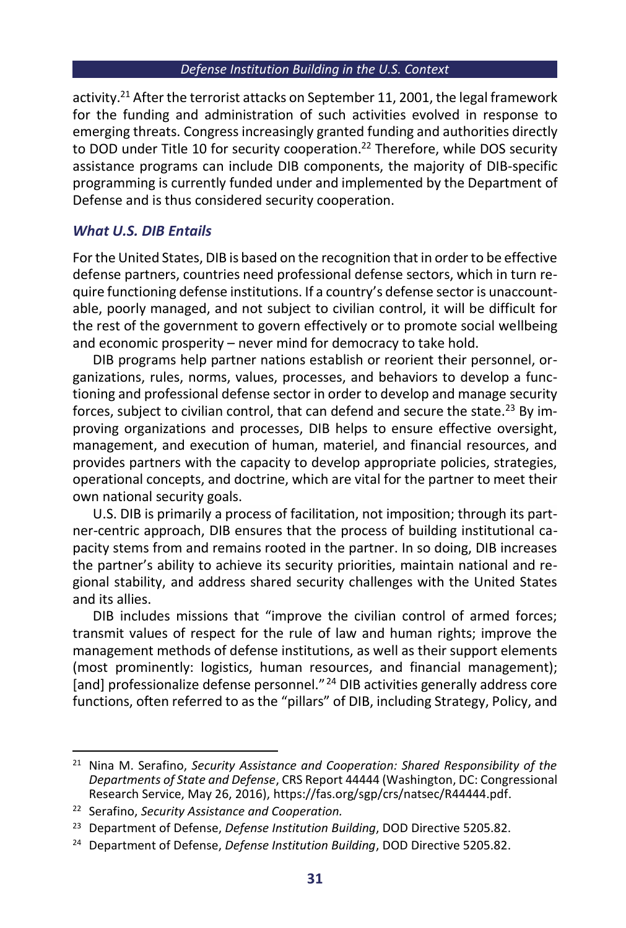activity.<sup>21</sup> After the terrorist attacks on September 11, 2001, the legal framework for the funding and administration of such activities evolved in response to emerging threats. Congress increasingly granted funding and authorities directly to DOD under Title 10 for security cooperation.<sup>22</sup> Therefore, while DOS security assistance programs can include DIB components, the majority of DIB-specific programming is currently funded under and implemented by the Department of Defense and is thus considered security cooperation.

## *What U.S. DIB Entails*

For the United States, DIB is based on the recognition that in order to be effective defense partners, countries need professional defense sectors, which in turn require functioning defense institutions. If a country's defense sector is unaccountable, poorly managed, and not subject to civilian control, it will be difficult for the rest of the government to govern effectively or to promote social wellbeing and economic prosperity – never mind for democracy to take hold.

DIB programs help partner nations establish or reorient their personnel, organizations, rules, norms, values, processes, and behaviors to develop a functioning and professional defense sector in order to develop and manage security forces, subject to civilian control, that can defend and secure the state.<sup>23</sup> By improving organizations and processes, DIB helps to ensure effective oversight, management, and execution of human, materiel, and financial resources, and provides partners with the capacity to develop appropriate policies, strategies, operational concepts, and doctrine, which are vital for the partner to meet their own national security goals.

U.S. DIB is primarily a process of facilitation, not imposition; through its partner-centric approach, DIB ensures that the process of building institutional capacity stems from and remains rooted in the partner. In so doing, DIB increases the partner's ability to achieve its security priorities, maintain national and regional stability, and address shared security challenges with the United States and its allies.

DIB includes missions that "improve the civilian control of armed forces; transmit values of respect for the rule of law and human rights; improve the management methods of defense institutions, as well as their support elements (most prominently: logistics, human resources, and financial management); [and] professionalize defense personnel."<sup>24</sup> DIB activities generally address core functions, often referred to as the "pillars" of DIB, including Strategy, Policy, and

<sup>21</sup> Nina M. Serafino, *Security Assistance and Cooperation: Shared Responsibility of the Departments of State and Defense*, CRS Report 44444 (Washington, DC: Congressional Research Service, May 26, 2016), https://fas.org/sgp/crs/natsec/R44444.pdf.

<sup>22</sup> Serafino, *Security Assistance and Cooperation.*

<sup>23</sup> Department of Defense, *Defense Institution Building*, DOD Directive 5205.82.

<sup>24</sup> Department of Defense, *Defense Institution Building*, DOD Directive 5205.82.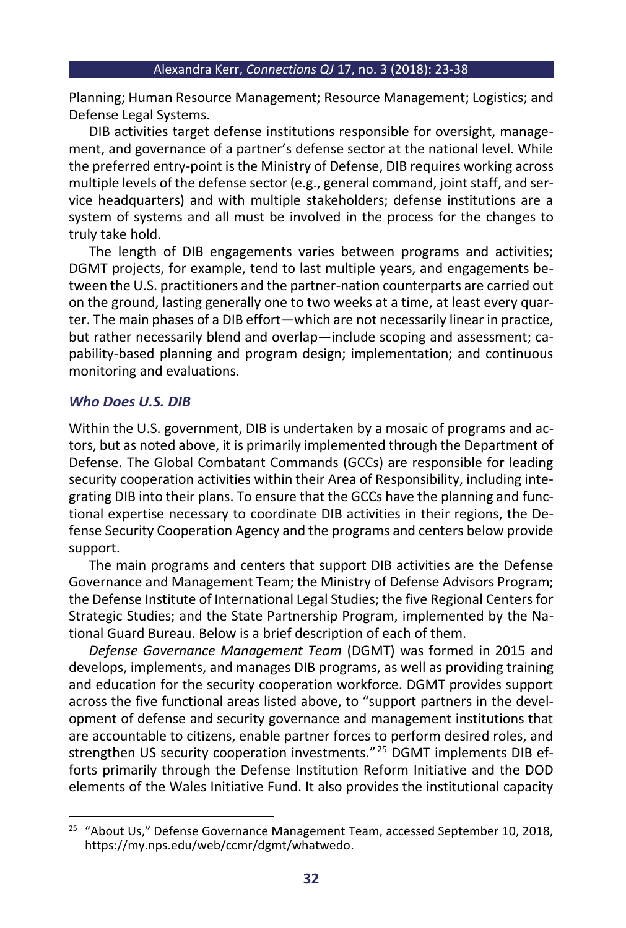Planning; Human Resource Management; Resource Management; Logistics; and Defense Legal Systems.

DIB activities target defense institutions responsible for oversight, management, and governance of a partner's defense sector at the national level. While the preferred entry-point is the Ministry of Defense, DIB requires working across multiple levels of the defense sector (e.g., general command, joint staff, and service headquarters) and with multiple stakeholders; defense institutions are a system of systems and all must be involved in the process for the changes to truly take hold.

The length of DIB engagements varies between programs and activities; DGMT projects, for example, tend to last multiple years, and engagements between the U.S. practitioners and the partner-nation counterparts are carried out on the ground, lasting generally one to two weeks at a time, at least every quarter. The main phases of a DIB effort—which are not necessarily linear in practice, but rather necessarily blend and overlap—include scoping and assessment; capability-based planning and program design; implementation; and continuous monitoring and evaluations.

## *Who Does U.S. DIB*

Within the U.S. government, DIB is undertaken by a mosaic of programs and actors, but as noted above, it is primarily implemented through the Department of Defense. The Global Combatant Commands (GCCs) are responsible for leading security cooperation activities within their Area of Responsibility, including integrating DIB into their plans. To ensure that the GCCs have the planning and functional expertise necessary to coordinate DIB activities in their regions, the Defense Security Cooperation Agency and the programs and centers below provide support.

The main programs and centers that support DIB activities are the Defense Governance and Management Team; the Ministry of Defense Advisors Program; the Defense Institute of International Legal Studies; the five Regional Centers for Strategic Studies; and the State Partnership Program, implemented by the National Guard Bureau. Below is a brief description of each of them.

*Defense Governance Management Team* (DGMT) was formed in 2015 and develops, implements, and manages DIB programs, as well as providing training and education for the security cooperation workforce. DGMT provides support across the five functional areas listed above, to "support partners in the development of defense and security governance and management institutions that are accountable to citizens, enable partner forces to perform desired roles, and strengthen US security cooperation investments." <sup>25</sup> DGMT implements DIB efforts primarily through the Defense Institution Reform Initiative and the DOD elements of the Wales Initiative Fund. It also provides the institutional capacity

<sup>&</sup>lt;sup>25</sup> "About Us," Defense Governance Management Team, accessed September 10, 2018, https://my.nps.edu/web/ccmr/dgmt/whatwedo.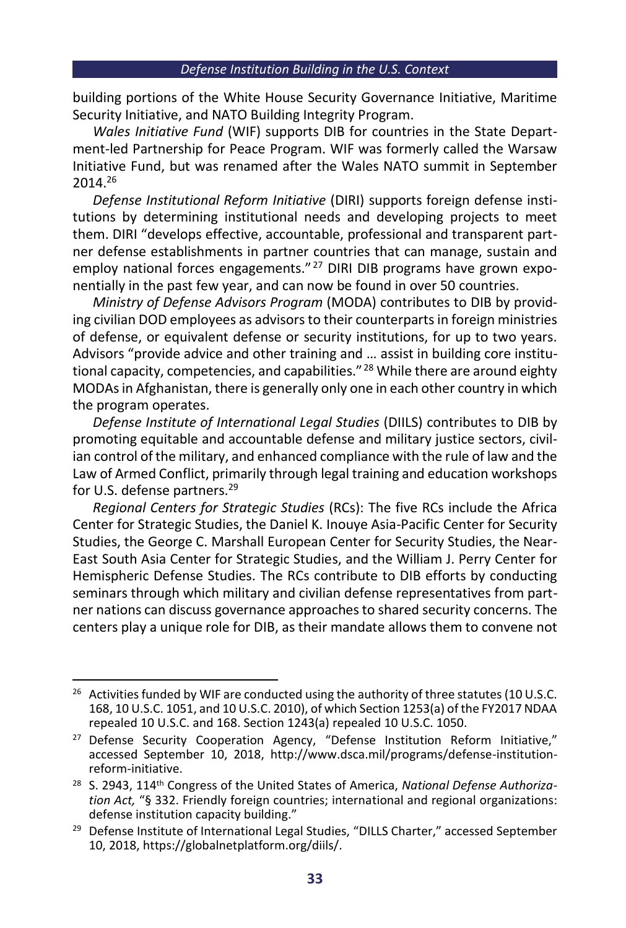building portions of the White House Security Governance Initiative, Maritime Security Initiative, and NATO Building Integrity Program.

*Wales Initiative Fund* (WIF) supports DIB for countries in the State Department-led Partnership for Peace Program. WIF was formerly called the Warsaw Initiative Fund, but was renamed after the Wales NATO summit in September 2014.<sup>26</sup>

*Defense Institutional Reform Initiative* (DIRI) supports foreign defense institutions by determining institutional needs and developing projects to meet them. DIRI "develops effective, accountable, professional and transparent partner defense establishments in partner countries that can manage, sustain and employ national forces engagements."<sup>27</sup> DIRI DIB programs have grown exponentially in the past few year, and can now be found in over 50 countries.

*Ministry of Defense Advisors Program* (MODA) contributes to DIB by providing civilian DOD employees as advisors to their counterparts in foreign ministries of defense, or equivalent defense or security institutions, for up to two years. Advisors "provide advice and other training and … assist in building core institutional capacity, competencies, and capabilities."<sup>28</sup> While there are around eighty MODAs in Afghanistan, there is generally only one in each other country in which the program operates.

*Defense Institute of International Legal Studies* (DIILS) contributes to DIB by promoting equitable and accountable defense and military justice sectors, civilian control of the military, and enhanced compliance with the rule of law and the Law of Armed Conflict, primarily through legal training and education workshops for U.S. defense partners.<sup>29</sup>

*Regional Centers for Strategic Studies* (RCs): The five RCs include the Africa Center for Strategic Studies, the Daniel K. Inouye Asia-Pacific Center for Security Studies, the George C. Marshall European Center for Security Studies, the Near-East South Asia Center for Strategic Studies, and the William J. Perry Center for Hemispheric Defense Studies. The RCs contribute to DIB efforts by conducting seminars through which military and civilian defense representatives from partner nations can discuss governance approaches to shared security concerns. The centers play a unique role for DIB, as their mandate allows them to convene not

<sup>&</sup>lt;sup>26</sup> Activities funded by WIF are conducted using the authority of three statutes (10 U.S.C. 168, 10 U.S.C. 1051, and 10 U.S.C. 2010), of which Section 1253(a) of the FY2017 NDAA repealed 10 U.S.C. and 168. Section 1243(a) repealed 10 U.S.C. 1050.

<sup>&</sup>lt;sup>27</sup> Defense Security Cooperation Agency, "Defense Institution Reform Initiative," accessed September 10, 2018, http://www.dsca.mil/programs/defense-institutionreform-initiative.

<sup>&</sup>lt;sup>28</sup> S. 2943, 114<sup>th</sup> Congress of the United States of America, *National Defense Authorization Act,* "§ 332. Friendly foreign countries; international and regional organizations: defense institution capacity building."

<sup>&</sup>lt;sup>29</sup> Defense Institute of International Legal Studies, "DILLS Charter," accessed September 10, 2018, https://globalnetplatform.org/diils/.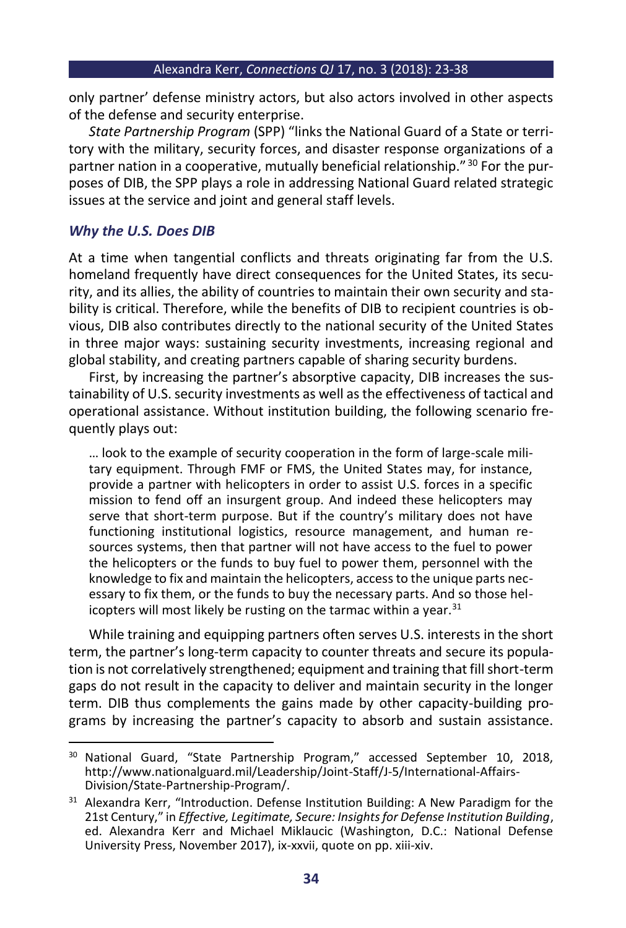only partner' defense ministry actors, but also actors involved in other aspects of the defense and security enterprise.

*State Partnership Program* (SPP) "links the National Guard of a State or territory with the military, security forces, and disaster response organizations of a partner nation in a cooperative, mutually beneficial relationship."<sup>30</sup> For the purposes of DIB, the SPP plays a role in addressing National Guard related strategic issues at the service and joint and general staff levels.

## *Why the U.S. Does DIB*

At a time when tangential conflicts and threats originating far from the U.S. homeland frequently have direct consequences for the United States, its security, and its allies, the ability of countries to maintain their own security and stability is critical. Therefore, while the benefits of DIB to recipient countries is obvious, DIB also contributes directly to the national security of the United States in three major ways: sustaining security investments, increasing regional and global stability, and creating partners capable of sharing security burdens.

First, by increasing the partner's absorptive capacity, DIB increases the sustainability of U.S. security investments as well as the effectiveness of tactical and operational assistance. Without institution building, the following scenario frequently plays out:

… look to the example of security cooperation in the form of large-scale military equipment. Through FMF or FMS, the United States may, for instance, provide a partner with helicopters in order to assist U.S. forces in a specific mission to fend off an insurgent group. And indeed these helicopters may serve that short-term purpose. But if the country's military does not have functioning institutional logistics, resource management, and human resources systems, then that partner will not have access to the fuel to power the helicopters or the funds to buy fuel to power them, personnel with the knowledge to fix and maintain the helicopters, access to the unique parts necessary to fix them, or the funds to buy the necessary parts. And so those helicopters will most likely be rusting on the tarmac within a year.<sup>31</sup>

While training and equipping partners often serves U.S. interests in the short term, the partner's long-term capacity to counter threats and secure its population is not correlatively strengthened; equipment and training that fill short-term gaps do not result in the capacity to deliver and maintain security in the longer term. DIB thus complements the gains made by other capacity-building programs by increasing the partner's capacity to absorb and sustain assistance.

<sup>&</sup>lt;sup>30</sup> National Guard, "State Partnership Program," accessed September 10, 2018, http://www.nationalguard.mil/Leadership/Joint-Staff/J-5/International-Affairs-Division/State-Partnership-Program/.

<sup>&</sup>lt;sup>31</sup> Alexandra Kerr, "Introduction. Defense Institution Building: A New Paradigm for the 21st Century," in *Effective, Legitimate, Secure: Insights for Defense Institution Building*, ed. Alexandra Kerr and Michael Miklaucic (Washington, D.C.: National Defense University Press, November 2017), ix-xxvii, quote on pp. xiii-xiv.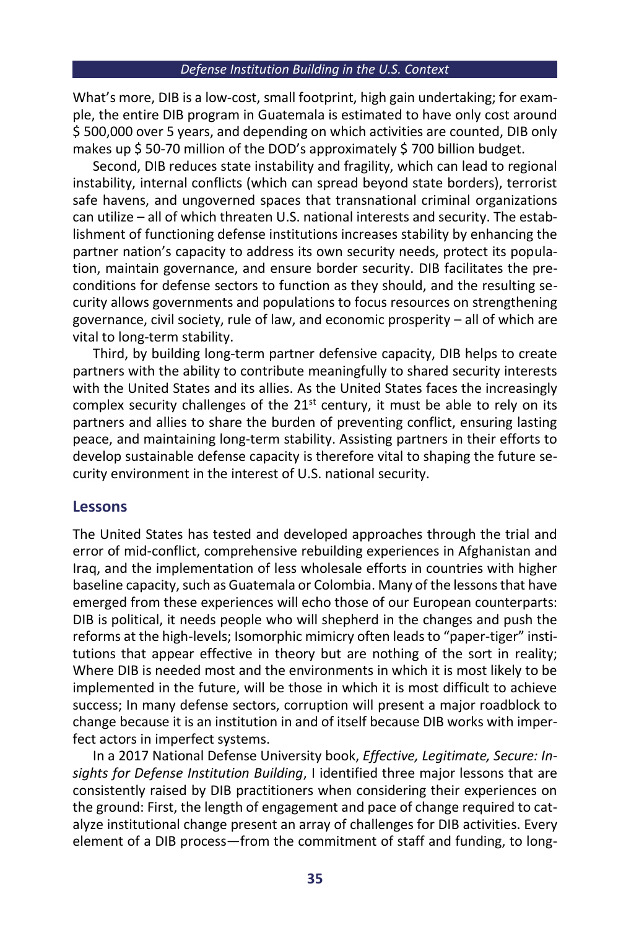What's more, DIB is a low-cost, small footprint, high gain undertaking; for example, the entire DIB program in Guatemala is estimated to have only cost around \$ 500,000 over 5 years, and depending on which activities are counted, DIB only makes up \$50-70 million of the DOD's approximately \$700 billion budget.

Second, DIB reduces state instability and fragility, which can lead to regional instability, internal conflicts (which can spread beyond state borders), terrorist safe havens, and ungoverned spaces that transnational criminal organizations can utilize – all of which threaten U.S. national interests and security. The establishment of functioning defense institutions increases stability by enhancing the partner nation's capacity to address its own security needs, protect its population, maintain governance, and ensure border security. DIB facilitates the preconditions for defense sectors to function as they should, and the resulting security allows governments and populations to focus resources on strengthening governance, civil society, rule of law, and economic prosperity – all of which are vital to long-term stability.

Third, by building long-term partner defensive capacity, DIB helps to create partners with the ability to contribute meaningfully to shared security interests with the United States and its allies. As the United States faces the increasingly complex security challenges of the  $21<sup>st</sup>$  century, it must be able to rely on its partners and allies to share the burden of preventing conflict, ensuring lasting peace, and maintaining long-term stability. Assisting partners in their efforts to develop sustainable defense capacity is therefore vital to shaping the future security environment in the interest of U.S. national security.

## **Lessons**

The United States has tested and developed approaches through the trial and error of mid-conflict, comprehensive rebuilding experiences in Afghanistan and Iraq, and the implementation of less wholesale efforts in countries with higher baseline capacity, such as Guatemala or Colombia. Many of the lessons that have emerged from these experiences will echo those of our European counterparts: DIB is political, it needs people who will shepherd in the changes and push the reforms at the high-levels; Isomorphic mimicry often leads to "paper-tiger" institutions that appear effective in theory but are nothing of the sort in reality; Where DIB is needed most and the environments in which it is most likely to be implemented in the future, will be those in which it is most difficult to achieve success; In many defense sectors, corruption will present a major roadblock to change because it is an institution in and of itself because DIB works with imperfect actors in imperfect systems.

In a 2017 National Defense University book, *Effective, Legitimate, Secure: Insights for Defense Institution Building*, I identified three major lessons that are consistently raised by DIB practitioners when considering their experiences on the ground: First, the length of engagement and pace of change required to catalyze institutional change present an array of challenges for DIB activities. Every element of a DIB process—from the commitment of staff and funding, to long-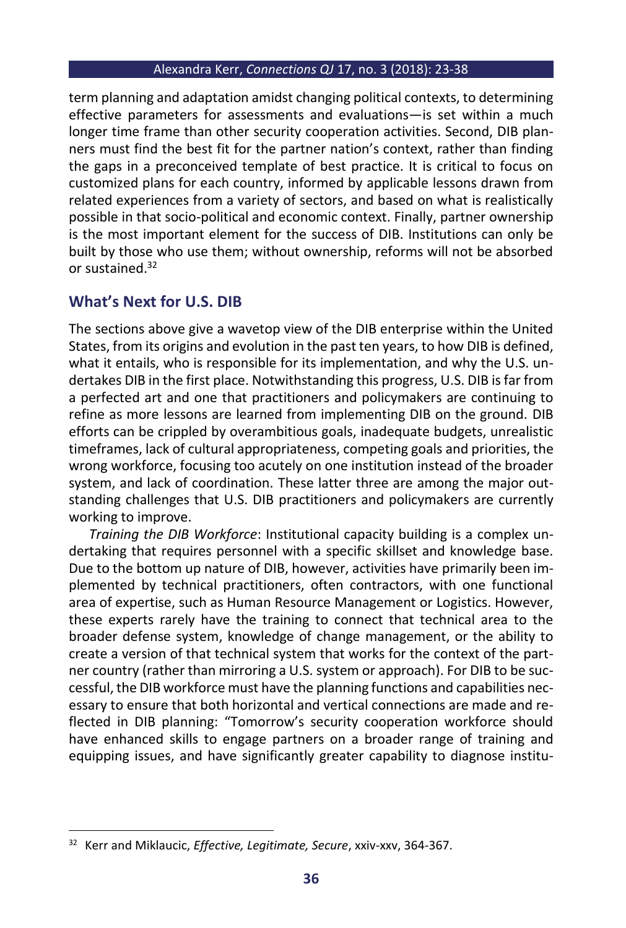term planning and adaptation amidst changing political contexts, to determining effective parameters for assessments and evaluations—is set within a much longer time frame than other security cooperation activities. Second, DIB planners must find the best fit for the partner nation's context, rather than finding the gaps in a preconceived template of best practice. It is critical to focus on customized plans for each country, informed by applicable lessons drawn from related experiences from a variety of sectors, and based on what is realistically possible in that socio-political and economic context. Finally, partner ownership is the most important element for the success of DIB. Institutions can only be built by those who use them; without ownership, reforms will not be absorbed or sustained.<sup>32</sup>

## **What's Next for U.S. DIB**

The sections above give a wavetop view of the DIB enterprise within the United States, from its origins and evolution in the past ten years, to how DIB is defined, what it entails, who is responsible for its implementation, and why the U.S. undertakes DIB in the first place. Notwithstanding this progress, U.S. DIB is far from a perfected art and one that practitioners and policymakers are continuing to refine as more lessons are learned from implementing DIB on the ground. DIB efforts can be crippled by overambitious goals, inadequate budgets, unrealistic timeframes, lack of cultural appropriateness, competing goals and priorities, the wrong workforce, focusing too acutely on one institution instead of the broader system, and lack of coordination. These latter three are among the major outstanding challenges that U.S. DIB practitioners and policymakers are currently working to improve.

*Training the DIB Workforce*: Institutional capacity building is a complex undertaking that requires personnel with a specific skillset and knowledge base. Due to the bottom up nature of DIB, however, activities have primarily been implemented by technical practitioners, often contractors, with one functional area of expertise, such as Human Resource Management or Logistics. However, these experts rarely have the training to connect that technical area to the broader defense system, knowledge of change management, or the ability to create a version of that technical system that works for the context of the partner country (rather than mirroring a U.S. system or approach). For DIB to be successful, the DIB workforce must have the planning functions and capabilities necessary to ensure that both horizontal and vertical connections are made and reflected in DIB planning: "Tomorrow's security cooperation workforce should have enhanced skills to engage partners on a broader range of training and equipping issues, and have significantly greater capability to diagnose institu-

<sup>32</sup> Kerr and Miklaucic, *Effective, Legitimate, Secure*, xxiv-xxv, 364-367.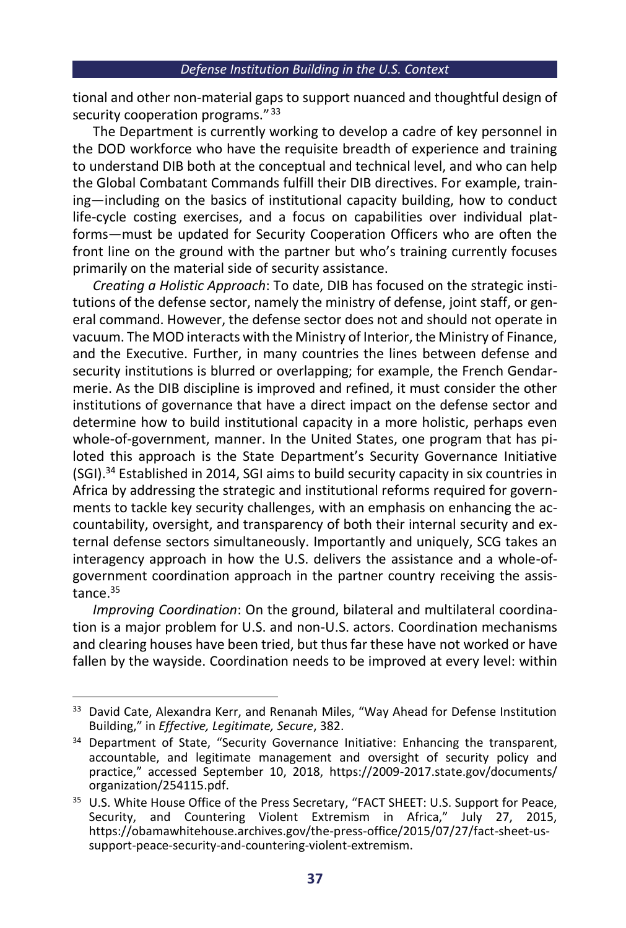tional and other non-material gaps to support nuanced and thoughtful design of security cooperation programs."<sup>33</sup>

The Department is currently working to develop a cadre of key personnel in the DOD workforce who have the requisite breadth of experience and training to understand DIB both at the conceptual and technical level, and who can help the Global Combatant Commands fulfill their DIB directives. For example, training—including on the basics of institutional capacity building, how to conduct life-cycle costing exercises, and a focus on capabilities over individual platforms—must be updated for Security Cooperation Officers who are often the front line on the ground with the partner but who's training currently focuses primarily on the material side of security assistance.

*Creating a Holistic Approach*: To date, DIB has focused on the strategic institutions of the defense sector, namely the ministry of defense, joint staff, or general command. However, the defense sector does not and should not operate in vacuum. The MOD interacts with the Ministry of Interior, the Ministry of Finance, and the Executive. Further, in many countries the lines between defense and security institutions is blurred or overlapping; for example, the French Gendarmerie. As the DIB discipline is improved and refined, it must consider the other institutions of governance that have a direct impact on the defense sector and determine how to build institutional capacity in a more holistic, perhaps even whole-of-government, manner. In the United States, one program that has piloted this approach is the State Department's Security Governance Initiative (SGI).<sup>34</sup> Established in 2014, SGI aims to build security capacity in six countries in Africa by addressing the strategic and institutional reforms required for governments to tackle key security challenges, with an emphasis on enhancing the accountability, oversight, and transparency of both their internal security and external defense sectors simultaneously. Importantly and uniquely, SCG takes an interagency approach in how the U.S. delivers the assistance and a whole-ofgovernment coordination approach in the partner country receiving the assistance.<sup>35</sup>

*Improving Coordination*: On the ground, bilateral and multilateral coordination is a major problem for U.S. and non-U.S. actors. Coordination mechanisms and clearing houses have been tried, but thus far these have not worked or have fallen by the wayside. Coordination needs to be improved at every level: within

<sup>&</sup>lt;sup>33</sup> David Cate, Alexandra Kerr, and Renanah Miles, "Way Ahead for Defense Institution Building," in *Effective, Legitimate, Secure*, 382.

<sup>&</sup>lt;sup>34</sup> Department of State, "Security Governance Initiative: Enhancing the transparent, accountable, and legitimate management and oversight of security policy and practice," accessed September 10, 2018, https://2009-2017.state.gov/documents/ organization/254115.pdf.

<sup>&</sup>lt;sup>35</sup> U.S. White House Office of the Press Secretary, "FACT SHEET: U.S. Support for Peace, Security, and Countering Violent Extremism in Africa," July 27, 2015, https://obamawhitehouse.archives.gov/the-press-office/2015/07/27/fact-sheet-ussupport-peace-security-and-countering-violent-extremism.